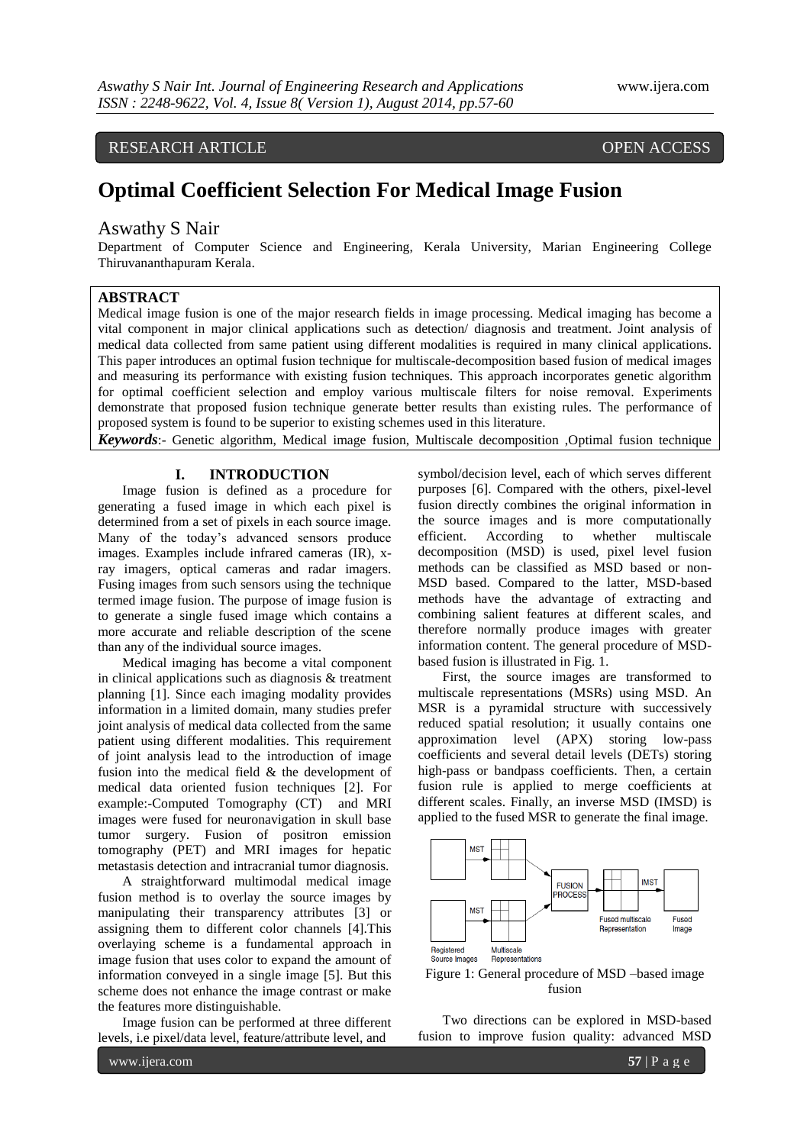## RESEARCH ARTICLE OPEN ACCESS

# **Optimal Coefficient Selection For Medical Image Fusion**

#### Aswathy S Nair

Department of Computer Science and Engineering, Kerala University, Marian Engineering College Thiruvananthapuram Kerala.

#### **ABSTRACT**

Medical image fusion is one of the major research fields in image processing. Medical imaging has become a vital component in major clinical applications such as detection/ diagnosis and treatment. Joint analysis of medical data collected from same patient using different modalities is required in many clinical applications. This paper introduces an optimal fusion technique for multiscale-decomposition based fusion of medical images and measuring its performance with existing fusion techniques. This approach incorporates genetic algorithm for optimal coefficient selection and employ various multiscale filters for noise removal. Experiments demonstrate that proposed fusion technique generate better results than existing rules. The performance of proposed system is found to be superior to existing schemes used in this literature.

*Keywords*:- Genetic algorithm, Medical image fusion, Multiscale decomposition ,Optimal fusion technique

#### **I. INTRODUCTION**

Image fusion is defined as a procedure for generating a fused image in which each pixel is determined from a set of pixels in each source image. Many of the today's advanced sensors produce images. Examples include infrared cameras (IR), xray imagers, optical cameras and radar imagers. Fusing images from such sensors using the technique termed image fusion. The purpose of image fusion is to generate a single fused image which contains a more accurate and reliable description of the scene than any of the individual source images.

Medical imaging has become a vital component in clinical applications such as diagnosis & treatment planning [1]. Since each imaging modality provides information in a limited domain, many studies prefer joint analysis of medical data collected from the same patient using different modalities. This requirement of joint analysis lead to the introduction of image fusion into the medical field & the development of medical data oriented fusion techniques [2]. For example:-Computed Tomography (CT) and MRI images were fused for neuronavigation in skull base tumor surgery. Fusion of positron emission tomography (PET) and MRI images for hepatic metastasis detection and intracranial tumor diagnosis.

A straightforward multimodal medical image fusion method is to overlay the source images by manipulating their transparency attributes [3] or assigning them to different color channels [4].This overlaying scheme is a fundamental approach in image fusion that uses color to expand the amount of information conveyed in a single image [5]. But this scheme does not enhance the image contrast or make the features more distinguishable.

Image fusion can be performed at three different levels, i.e pixel/data level, feature/attribute level, and

symbol/decision level, each of which serves different purposes [6]. Compared with the others, pixel-level fusion directly combines the original information in the source images and is more computationally efficient. According to whether multiscale decomposition (MSD) is used, pixel level fusion methods can be classified as MSD based or non-MSD based. Compared to the latter, MSD-based methods have the advantage of extracting and combining salient features at different scales, and therefore normally produce images with greater information content. The general procedure of MSDbased fusion is illustrated in Fig. 1.

First, the source images are transformed to multiscale representations (MSRs) using MSD. An MSR is a pyramidal structure with successively reduced spatial resolution; it usually contains one approximation level (APX) storing low-pass coefficients and several detail levels (DETs) storing high-pass or bandpass coefficients. Then, a certain fusion rule is applied to merge coefficients at different scales. Finally, an inverse MSD (IMSD) is applied to the fused MSR to generate the final image.



Figure 1: General procedure of MSD –based image fusion

Two directions can be explored in MSD-based fusion to improve fusion quality: advanced MSD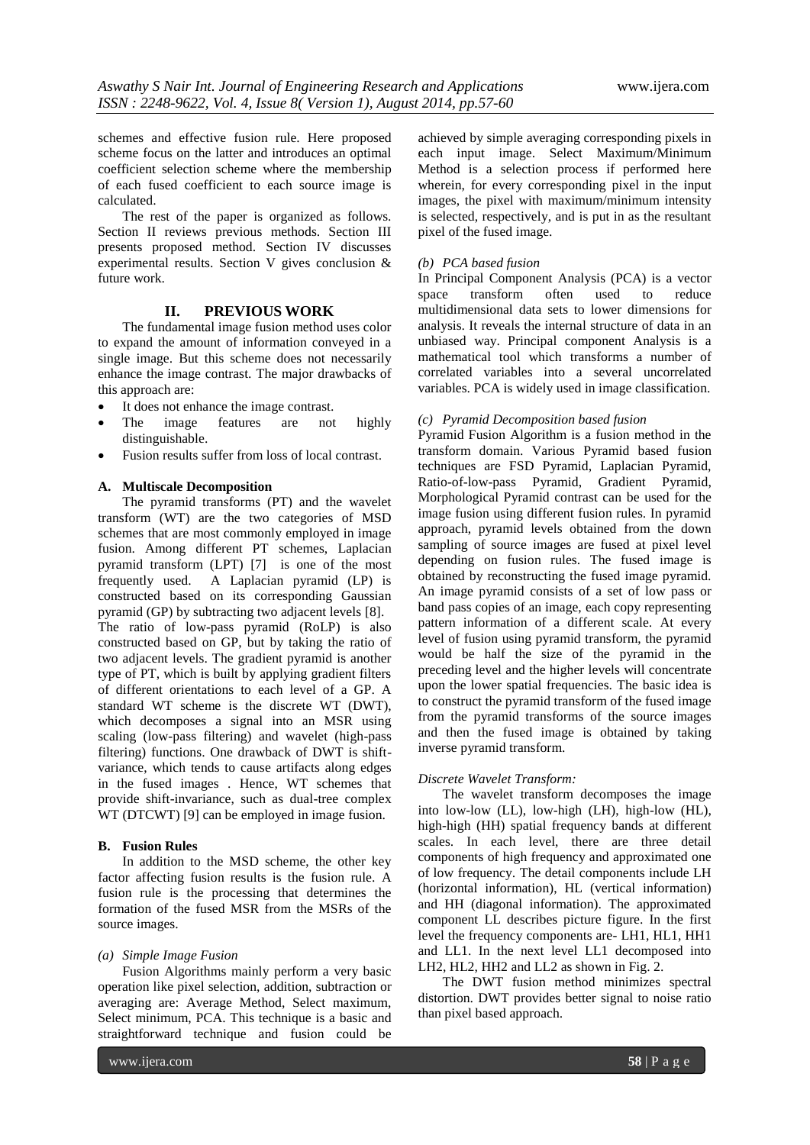schemes and effective fusion rule. Here proposed scheme focus on the latter and introduces an optimal coefficient selection scheme where the membership of each fused coefficient to each source image is calculated.

The rest of the paper is organized as follows. Section II reviews previous methods. Section III presents proposed method. Section IV discusses experimental results. Section V gives conclusion & future work.

### **II. PREVIOUS WORK**

The fundamental image fusion method uses color to expand the amount of information conveyed in a single image. But this scheme does not necessarily enhance the image contrast. The major drawbacks of this approach are:

- It does not enhance the image contrast.
- The image features are not highly distinguishable.
- Fusion results suffer from loss of local contrast.

#### **A. Multiscale Decomposition**

The pyramid transforms (PT) and the wavelet transform (WT) are the two categories of MSD schemes that are most commonly employed in image fusion. Among different PT schemes, Laplacian pyramid transform (LPT) [7] is one of the most frequently used. A Laplacian pyramid (LP) is constructed based on its corresponding Gaussian pyramid (GP) by subtracting two adjacent levels [8]. The ratio of low-pass pyramid (RoLP) is also constructed based on GP, but by taking the ratio of two adjacent levels. The gradient pyramid is another type of PT, which is built by applying gradient filters of different orientations to each level of a GP. A standard WT scheme is the discrete WT (DWT), which decomposes a signal into an MSR using scaling (low-pass filtering) and wavelet (high-pass filtering) functions. One drawback of DWT is shiftvariance, which tends to cause artifacts along edges

in the fused images . Hence, WT schemes that provide shift-invariance, such as dual-tree complex WT (DTCWT) [9] can be employed in image fusion.

#### **B. Fusion Rules**

In addition to the MSD scheme, the other key factor affecting fusion results is the fusion rule. A fusion rule is the processing that determines the formation of the fused MSR from the MSRs of the source images.

#### *(a) Simple Image Fusion*

Fusion Algorithms mainly perform a very basic operation like pixel selection, addition, subtraction or averaging are: Average Method, Select maximum, Select minimum, PCA. This technique is a basic and straightforward technique and fusion could be

achieved by simple averaging corresponding pixels in each input image. Select Maximum/Minimum Method is a selection process if performed here wherein, for every corresponding pixel in the input images, the pixel with maximum/minimum intensity is selected, respectively, and is put in as the resultant pixel of the fused image.

#### *(b) PCA based fusion*

In Principal Component Analysis (PCA) is a vector space transform often used to reduce multidimensional data sets to lower dimensions for analysis. It reveals the internal structure of data in an unbiased way. Principal component Analysis is a mathematical tool which transforms a number of correlated variables into a several uncorrelated variables. PCA is widely used in image classification.

#### *(c) Pyramid Decomposition based fusion*

Pyramid Fusion Algorithm is a fusion method in the transform domain. Various Pyramid based fusion techniques are FSD Pyramid, Laplacian Pyramid, Ratio-of-low-pass Pyramid, Gradient Pyramid, Morphological Pyramid contrast can be used for the image fusion using different fusion rules. In pyramid approach, pyramid levels obtained from the down sampling of source images are fused at pixel level depending on fusion rules. The fused image is obtained by reconstructing the fused image pyramid. An image pyramid consists of a set of low pass or band pass copies of an image, each copy representing pattern information of a different scale. At every level of fusion using pyramid transform, the pyramid would be half the size of the pyramid in the preceding level and the higher levels will concentrate upon the lower spatial frequencies. The basic idea is to construct the pyramid transform of the fused image from the pyramid transforms of the source images and then the fused image is obtained by taking inverse pyramid transform.

#### *Discrete Wavelet Transform:*

The wavelet transform decomposes the image into low-low (LL), low-high (LH), high-low (HL), high-high (HH) spatial frequency bands at different scales. In each level, there are three detail components of high frequency and approximated one of low frequency. The detail components include LH (horizontal information), HL (vertical information) and HH (diagonal information). The approximated component LL describes picture figure. In the first level the frequency components are- LH1, HL1, HH1 and LL1. In the next level LL1 decomposed into LH2, HL2, HH2 and LL2 as shown in Fig. 2.

The DWT fusion method minimizes spectral distortion. DWT provides better signal to noise ratio than pixel based approach.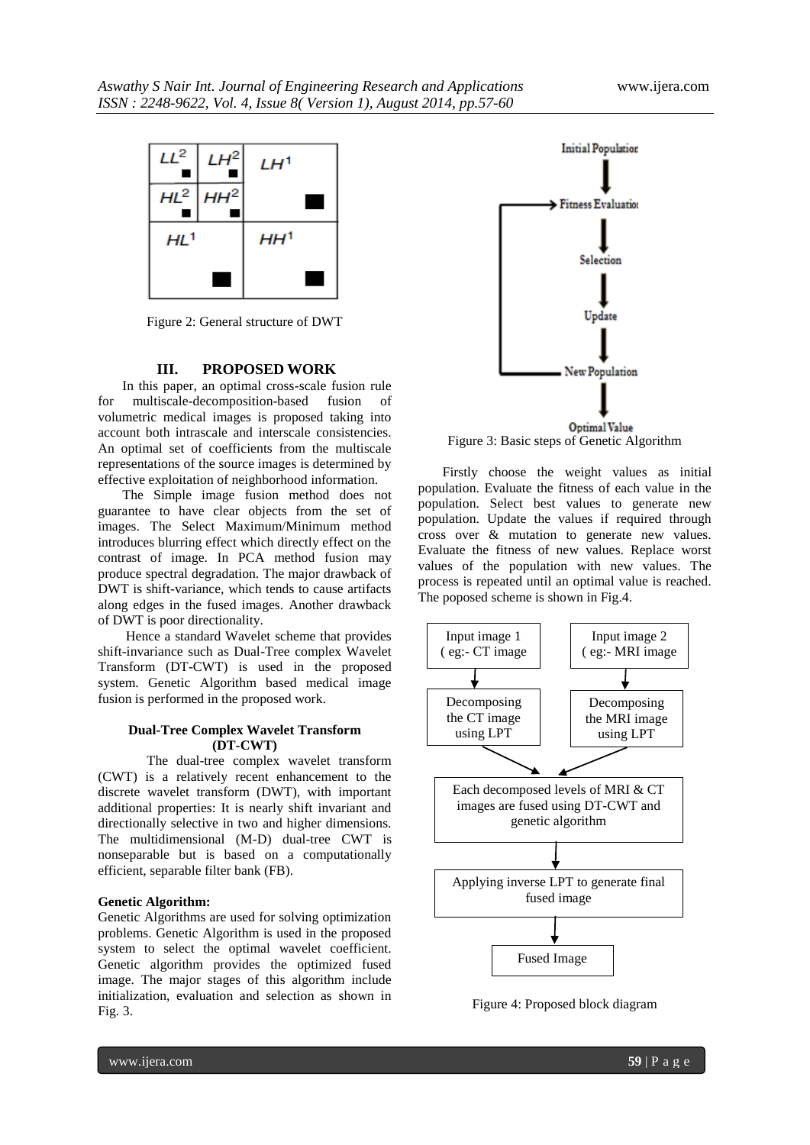

Figure 2: General structure of DWT

#### **III. PROPOSED WORK**

In this paper, an optimal cross-scale fusion rule for multiscale-decomposition-based fusion of volumetric medical images is proposed taking into account both intrascale and interscale consistencies. An optimal set of coefficients from the multiscale representations of the source images is determined by effective exploitation of neighborhood information.

The Simple image fusion method does not guarantee to have clear objects from the set of images. The Select Maximum/Minimum method introduces blurring effect which directly effect on the contrast of image. In PCA method fusion may produce spectral degradation. The major drawback of DWT is shift-variance, which tends to cause artifacts along edges in the fused images. Another drawback of DWT is poor directionality.

Hence a standard Wavelet scheme that provides shift-invariance such as Dual-Tree complex Wavelet Transform (DT-CWT) is used in the proposed system. Genetic Algorithm based medical image fusion is performed in the proposed work.

#### **Dual-Tree Complex Wavelet Transform (DT-CWT)**

The dual-tree complex wavelet transform (CWT) is a relatively recent enhancement to the discrete wavelet transform (DWT), with important additional properties: It is nearly shift invariant and directionally selective in two and higher dimensions. The multidimensional (M-D) dual-tree CWT is nonseparable but is based on a computationally efficient, separable filter bank (FB).

#### **Genetic Algorithm:**

Genetic Algorithms are used for solving optimization problems. Genetic Algorithm is used in the proposed system to select the optimal wavelet coefficient. Genetic algorithm provides the optimized fused image. The major stages of this algorithm include initialization, evaluation and selection as shown in Fig. 3.



Figure 3: Basic steps of Genetic Algorithm

Firstly choose the weight values as initial population. Evaluate the fitness of each value in the population. Select best values to generate new population. Update the values if required through cross over & mutation to generate new values. Evaluate the fitness of new values. Replace worst values of the population with new values. The process is repeated until an optimal value is reached. The poposed scheme is shown in Fig.4.



Figure 4: Proposed block diagram